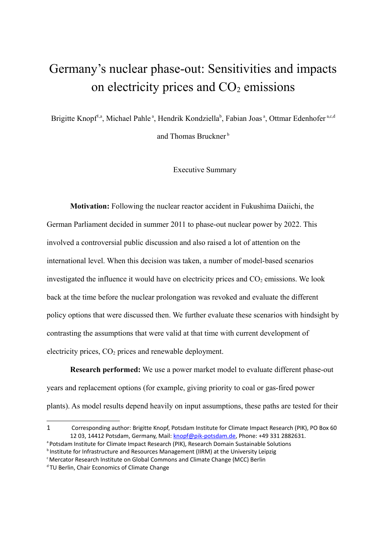## Germany's nuclear phase-out: Sensitivities and impacts on electricity prices and  $CO<sub>2</sub>$  emissions

Brigitte Knopf<sup>[1,](#page-0-0)a</sup>, Michael Pahle<sup>a</sup>, Hendrik Kondziella<sup>b</sup>, Fabian Joas<sup>a</sup>, Ottmar Edenhofer<sup>a,c,d</sup>

and Thomas Bruckner<sup>b</sup>

Executive Summary

**Motivation:** Following the nuclear reactor accident in Fukushima Daiichi, the German Parliament decided in summer 2011 to phase-out nuclear power by 2022. This involved a controversial public discussion and also raised a lot of attention on the international level. When this decision was taken, a number of model-based scenarios investigated the influence it would have on electricity prices and  $CO<sub>2</sub>$  emissions. We look back at the time before the nuclear prolongation was revoked and evaluate the different policy options that were discussed then. We further evaluate these scenarios with hindsight by contrasting the assumptions that were valid at that time with current development of electricity prices, CO<sub>2</sub> prices and renewable deployment.

**Research performed:** We use a power market model to evaluate different phase-out years and replacement options (for example, giving priority to coal or gas-fired power plants). As model results depend heavily on input assumptions, these paths are tested for their

a Potsdam Institute for Climate Impact Research (PIK), Research Domain Sustainable Solutions

<span id="page-0-0"></span><sup>1</sup> Corresponding author: Brigitte Knopf, Potsdam Institute for Climate Impact Research (PIK), PO Box 60 12 03, 14412 Potsdam, Germany, Mail: [knopf@pik-potsdam.de,](mailto:knopf@pik-potsdam.de) Phone: +49 331 2882631.

 $b$  Institute for Infrastructure and Resources Management (IIRM) at the University Leipzig

<sup>&</sup>lt;sup>c</sup> Mercator Research Institute on Global Commons and Climate Change (MCC) Berlin

<sup>&</sup>lt;sup>d</sup> TU Berlin, Chair Economics of Climate Change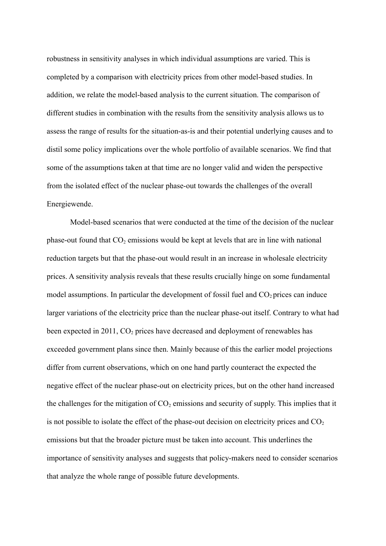robustness in sensitivity analyses in which individual assumptions are varied. This is completed by a comparison with electricity prices from other model-based studies. In addition, we relate the model-based analysis to the current situation. The comparison of different studies in combination with the results from the sensitivity analysis allows us to assess the range of results for the situation-as-is and their potential underlying causes and to distil some policy implications over the whole portfolio of available scenarios. We find that some of the assumptions taken at that time are no longer valid and widen the perspective from the isolated effect of the nuclear phase-out towards the challenges of the overall Energiewende.

Model-based scenarios that were conducted at the time of the decision of the nuclear phase-out found that  $CO<sub>2</sub>$  emissions would be kept at levels that are in line with national reduction targets but that the phase-out would result in an increase in wholesale electricity prices. A sensitivity analysis reveals that these results crucially hinge on some fundamental model assumptions. In particular the development of fossil fuel and  $CO<sub>2</sub>$  prices can induce larger variations of the electricity price than the nuclear phase-out itself. Contrary to what had been expected in 2011,  $CO<sub>2</sub>$  prices have decreased and deployment of renewables has exceeded government plans since then. Mainly because of this the earlier model projections differ from current observations, which on one hand partly counteract the expected the negative effect of the nuclear phase-out on electricity prices, but on the other hand increased the challenges for the mitigation of  $CO<sub>2</sub>$  emissions and security of supply. This implies that it is not possible to isolate the effect of the phase-out decision on electricity prices and  $CO<sub>2</sub>$ emissions but that the broader picture must be taken into account. This underlines the importance of sensitivity analyses and suggests that policy-makers need to consider scenarios that analyze the whole range of possible future developments.